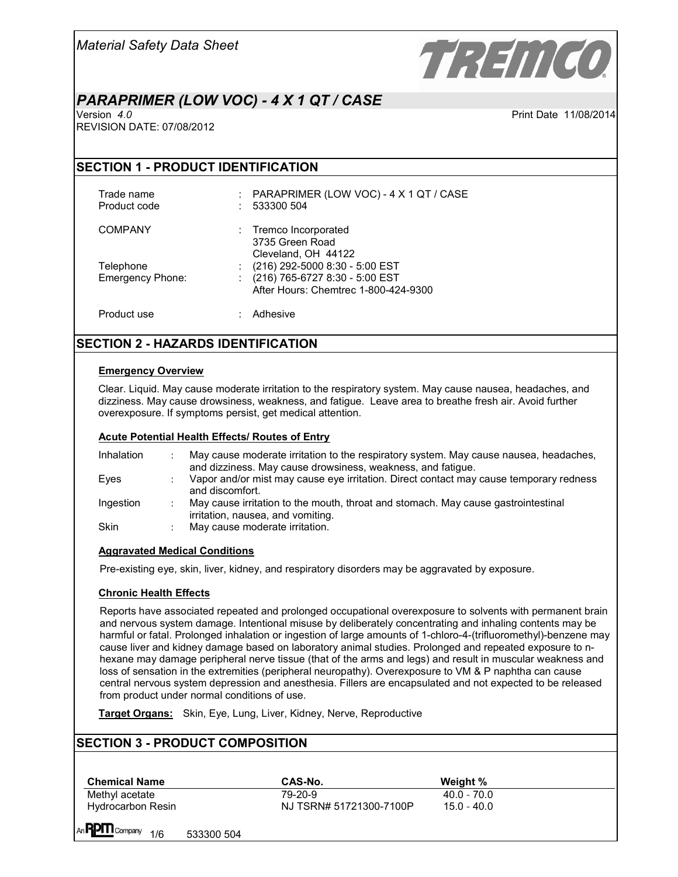

# *PARAPRIMER (LOW VOC) - 4 X 1 QT / CASE*

Print Date 11/08/2014

REVISION DATE: 07/08/2012

## **SECTION 1 - PRODUCT IDENTIFICATION**

Trade name : PARAPRIMER (LOW VOC) - 4 X 1 QT / CASE<br>Product code : 533300 504  $: 533300 504$ 

COMPANY : Tremco Incorporated

3735 Green Road Cleveland, OH 44122 Telephone : (216) 292-5000 8:30 - 5:00 EST Emergency Phone: : (216) 765-6727 8:30 - 5:00 EST After Hours: Chemtrec 1-800-424-9300

Product use : Adhesive

# **SECTION 2 - HAZARDS IDENTIFICATION**

### **Emergency Overview**

Clear. Liquid. May cause moderate irritation to the respiratory system. May cause nausea, headaches, and dizziness. May cause drowsiness, weakness, and fatigue. Leave area to breathe fresh air. Avoid further overexposure. If symptoms persist, get medical attention.

### **Acute Potential Health Effects/ Routes of Entry**

| Inhalation  | May cause moderate irritation to the respiratory system. May cause nausea, headaches,<br>and dizziness. May cause drowsiness, weakness, and fatigue. |
|-------------|------------------------------------------------------------------------------------------------------------------------------------------------------|
| Eves        | Vapor and/or mist may cause eye irritation. Direct contact may cause temporary redness<br>and discomfort.                                            |
| Ingestion   | May cause irritation to the mouth, throat and stomach. May cause gastrointestinal<br>irritation, nausea, and vomiting.                               |
| <b>Skin</b> | May cause moderate irritation.                                                                                                                       |

### **Aggravated Medical Conditions**

Pre-existing eye, skin, liver, kidney, and respiratory disorders may be aggravated by exposure.

### **Chronic Health Effects**

Reports have associated repeated and prolonged occupational overexposure to solvents with permanent brain and nervous system damage. Intentional misuse by deliberately concentrating and inhaling contents may be harmful or fatal. Prolonged inhalation or ingestion of large amounts of 1-chloro-4-(trifluoromethyl)-benzene may cause liver and kidney damage based on laboratory animal studies. Prolonged and repeated exposure to nhexane may damage peripheral nerve tissue (that of the arms and legs) and result in muscular weakness and loss of sensation in the extremities (peripheral neuropathy). Overexposure to VM & P naphtha can cause central nervous system depression and anesthesia. Fillers are encapsulated and not expected to be released from product under normal conditions of use.

**Target Organs:** Skin, Eye, Lung, Liver, Kidney, Nerve, Reproductive

# **SECTION 3 - PRODUCT COMPOSITION**

| <b>Chemical Name</b>                         | CAS-No.                 | Weight %      |
|----------------------------------------------|-------------------------|---------------|
| Methyl acetate                               | 79-20-9                 | $40.0 - 70.0$ |
| <b>Hydrocarbon Resin</b>                     | NJ TSRN# 51721300-7100P | 15.0 - 40.0   |
| An <b>PPIII</b> Company<br>1/6<br>533300 504 |                         |               |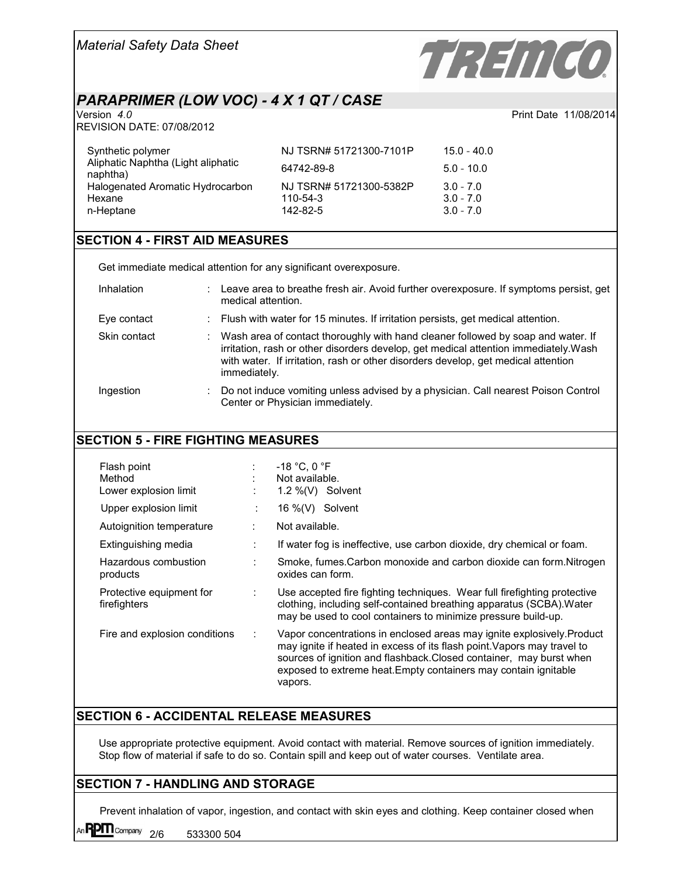

Print Date 11/08/2014

# *PARAPRIMER (LOW VOC) - 4 X 1 QT / CASE*

REVISION DATE: 07/08/2012

| Synthetic polymer                              | NJ TSRN# 51721300-7101P | 15.0 - 40.0  |
|------------------------------------------------|-------------------------|--------------|
| Aliphatic Naphtha (Light aliphatic<br>naphtha) | 64742-89-8              | $5.0 - 10.0$ |
| Halogenated Aromatic Hydrocarbon               | NJ TSRN# 51721300-5382P | $3.0 - 7.0$  |
| Hexane                                         | 110-54-3                | $3.0 - 7.0$  |
| n-Heptane                                      | 142-82-5                | $3.0 - 7.0$  |

## **SECTION 4 - FIRST AID MEASURES**

Get immediate medical attention for any significant overexposure.

| Inhalation   | ÷ | Leave area to breathe fresh air. Avoid further overexposure. If symptoms persist, get<br>medical attention.                                                                                                                                                                   |
|--------------|---|-------------------------------------------------------------------------------------------------------------------------------------------------------------------------------------------------------------------------------------------------------------------------------|
| Eye contact  |   | : Flush with water for 15 minutes. If irritation persists, get medical attention.                                                                                                                                                                                             |
| Skin contact |   | Wash area of contact thoroughly with hand cleaner followed by soap and water. If<br>irritation, rash or other disorders develop, get medical attention immediately. Wash<br>with water. If irritation, rash or other disorders develop, get medical attention<br>immediately. |
| Ingestion    |   | Do not induce vomiting unless advised by a physician. Call nearest Poison Control<br>Center or Physician immediately.                                                                                                                                                         |

# **SECTION 5 - FIRE FIGHTING MEASURES**

| Flash point<br>Method<br>Lower explosion limit |   | $-18$ °C. 0 °F<br>Not available.<br>1.2 $\%$ (V) Solvent                                                                                                                                                                                                                                               |
|------------------------------------------------|---|--------------------------------------------------------------------------------------------------------------------------------------------------------------------------------------------------------------------------------------------------------------------------------------------------------|
| Upper explosion limit                          | ÷ | 16 %(V) Solvent                                                                                                                                                                                                                                                                                        |
| Autoignition temperature                       | ÷ | Not available.                                                                                                                                                                                                                                                                                         |
| Extinguishing media                            | ÷ | If water fog is ineffective, use carbon dioxide, dry chemical or foam.                                                                                                                                                                                                                                 |
| Hazardous combustion<br>products               | ÷ | Smoke, fumes. Carbon monoxide and carbon dioxide can form. Nitrogen<br>oxides can form.                                                                                                                                                                                                                |
| Protective equipment for<br>firefighters       | ÷ | Use accepted fire fighting techniques. Wear full firefighting protective<br>clothing, including self-contained breathing apparatus (SCBA). Water<br>may be used to cool containers to minimize pressure build-up.                                                                                      |
| Fire and explosion conditions                  | ÷ | Vapor concentrations in enclosed areas may ignite explosively. Product<br>may ignite if heated in excess of its flash point. Vapors may travel to<br>sources of ignition and flashback. Closed container, may burst when<br>exposed to extreme heat. Empty containers may contain ignitable<br>vapors. |

# **SECTION 6 - ACCIDENTAL RELEASE MEASURES**

Use appropriate protective equipment. Avoid contact with material. Remove sources of ignition immediately. Stop flow of material if safe to do so. Contain spill and keep out of water courses. Ventilate area.

# **SECTION 7 - HANDLING AND STORAGE**

Prevent inhalation of vapor, ingestion, and contact with skin eyes and clothing. Keep container closed when

An  $\overline{P}$  Company  $\overline{2/6}$  533300 504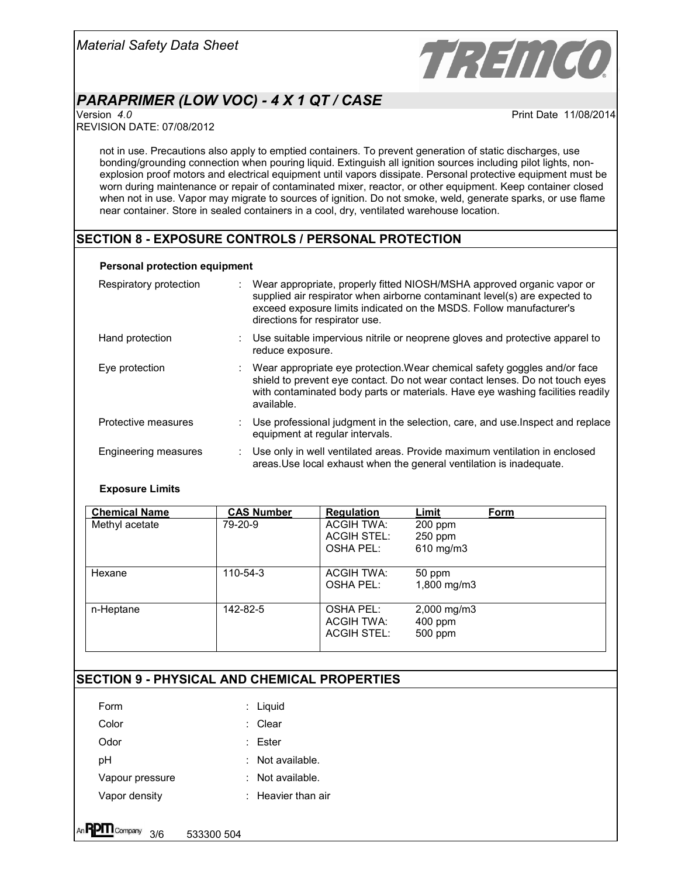

# *PARAPRIMER (LOW VOC) - 4 X 1 QT / CASE*

REVISION DATE: 07/08/2012

Print Date 11/08/2014

not in use. Precautions also apply to emptied containers. To prevent generation of static discharges, use bonding/grounding connection when pouring liquid. Extinguish all ignition sources including pilot lights, nonexplosion proof motors and electrical equipment until vapors dissipate. Personal protective equipment must be worn during maintenance or repair of contaminated mixer, reactor, or other equipment. Keep container closed when not in use. Vapor may migrate to sources of ignition. Do not smoke, weld, generate sparks, or use flame near container. Store in sealed containers in a cool, dry, ventilated warehouse location.

## **SECTION 8 - EXPOSURE CONTROLS / PERSONAL PROTECTION**

#### **Personal protection equipment**

| Respiratory protection | Wear appropriate, properly fitted NIOSH/MSHA approved organic vapor or<br>supplied air respirator when airborne contaminant level(s) are expected to<br>exceed exposure limits indicated on the MSDS. Follow manufacturer's<br>directions for respirator use. |
|------------------------|---------------------------------------------------------------------------------------------------------------------------------------------------------------------------------------------------------------------------------------------------------------|
| Hand protection        | Use suitable impervious nitrile or neoprene gloves and protective apparel to<br>reduce exposure.                                                                                                                                                              |
| Eye protection         | Wear appropriate eye protection. Wear chemical safety goggles and/or face<br>shield to prevent eye contact. Do not wear contact lenses. Do not touch eyes<br>with contaminated body parts or materials. Have eye washing facilities readily<br>available.     |
| Protective measures    | : Use professional judgment in the selection, care, and use Inspect and replace<br>equipment at regular intervals.                                                                                                                                            |
| Engineering measures   | Use only in well ventilated areas. Provide maximum ventilation in enclosed<br>areas. Use local exhaust when the general ventilation is inadequate.                                                                                                            |

#### **Exposure Limits**

| <b>Chemical Name</b> | <b>CAS Number</b> | <b>Regulation</b>  | Limit                   | Form |
|----------------------|-------------------|--------------------|-------------------------|------|
| Methyl acetate       | 79-20-9           | ACGIH TWA:         | $200$ ppm               |      |
|                      |                   | <b>ACGIH STEL:</b> | $250$ ppm               |      |
|                      |                   | OSHA PEL:          | 610 mg/m3               |      |
| Hexane               | $110 - 54 - 3$    | ACGIH TWA:         | 50 ppm                  |      |
|                      |                   | OSHA PEL:          | $1,800 \,\mathrm{mg/m}$ |      |
| n-Heptane            | 142-82-5          | OSHA PEL:          | 2,000 mg/m3             |      |
|                      |                   | ACGIH TWA:         | $400$ ppm               |      |
|                      |                   | ACGIH STEL:        | 500 ppm                 |      |

## **SECTION 9 - PHYSICAL AND CHEMICAL PROPERTIES**

| Form            | $:$ Liquid           |
|-----------------|----------------------|
| Color           | : Clear              |
| Odor            | : Fster              |
| pН              | Not available.       |
| Vapour pressure | Not available.       |
| Vapor densitv   | $:$ Heavier than air |
|                 |                      |

**PPI Company 3/6 533300 504**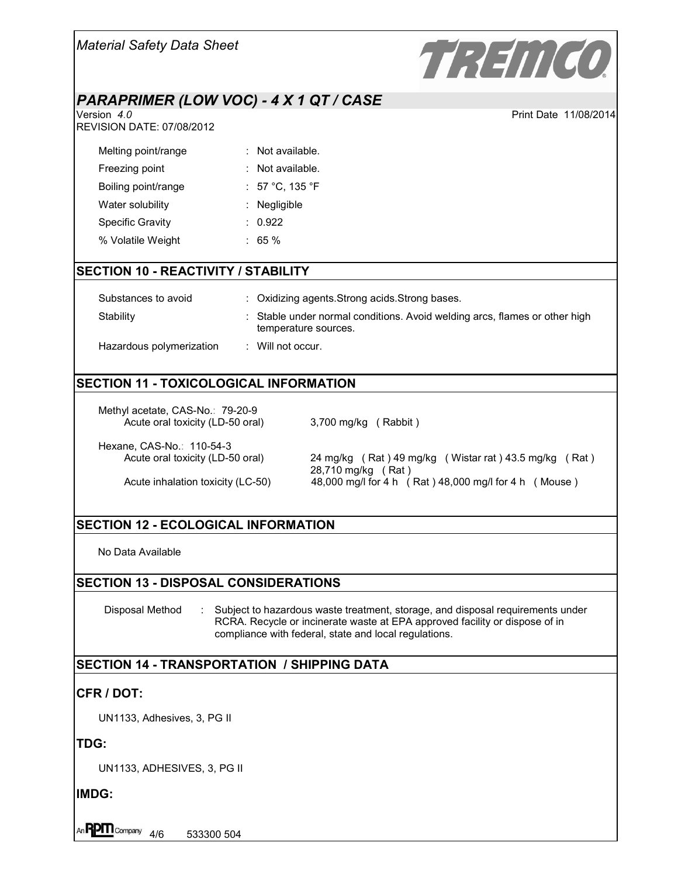| <b>Material Safety Data Sheet</b>                                    |                    | TREMCO                                                                                           |
|----------------------------------------------------------------------|--------------------|--------------------------------------------------------------------------------------------------|
| PARAPRIMER (LOW VOC) - 4 X 1 QT / CASE                               |                    |                                                                                                  |
| Version 4.0<br><b>REVISION DATE: 07/08/2012</b>                      |                    | Print Date 11/08/2014                                                                            |
| Melting point/range                                                  | $:$ Not available. |                                                                                                  |
| Freezing point                                                       | Not available.     |                                                                                                  |
| Boiling point/range                                                  | : 57 °C, 135 °F    |                                                                                                  |
| Water solubility                                                     | Negligible         |                                                                                                  |
| <b>Specific Gravity</b>                                              | : 0.922            |                                                                                                  |
| % Volatile Weight                                                    | $: 65 \%$          |                                                                                                  |
| <b>SECTION 10 - REACTIVITY / STABILITY</b>                           |                    |                                                                                                  |
| Substances to avoid                                                  |                    | : Oxidizing agents. Strong acids. Strong bases.                                                  |
| Stability                                                            |                    | Stable under normal conditions. Avoid welding arcs, flames or other high<br>temperature sources. |
| Hazardous polymerization                                             | : Will not occur.  |                                                                                                  |
| <b>SECTION 11 - TOXICOLOGICAL INFORMATION</b>                        |                    |                                                                                                  |
| Methyl acetate, CAS-No.: 79-20-9<br>Acute oral toxicity (LD-50 oral) |                    | 3,700 mg/kg (Rabbit)                                                                             |
| Hexane, CAS-No.: 110-54-3<br>Acute oral toxicity (LD-50 oral)        |                    | 24 mg/kg (Rat) 49 mg/kg (Wistar rat) 43.5 mg/kg (Rat)<br>28,710 mg/kg (Rat)                      |

28,710 mg/kg ( Rat ) Acute inhalation toxicity (LC-50) 48,000 mg/l for 4 h ( Rat ) 48,000 mg/l for 4 h ( Mouse )

# **SECTION 12 - ECOLOGICAL INFORMATION**

No Data Available

## **SECTION 13 - DISPOSAL CONSIDERATIONS**

Disposal Method : Subject to hazardous waste treatment, storage, and disposal requirements under RCRA. Recycle or incinerate waste at EPA approved facility or dispose of in compliance with federal, state and local regulations.

## **SECTION 14 - TRANSPORTATION / SHIPPING DATA**

## **CFR / DOT:**

UN1133, Adhesives, 3, PG II

**TDG:**

UN1133, ADHESIVES, 3, PG II

**IMDG:**

An  $R$ P $\prod$ Company  $\frac{4}{6}$  533300 504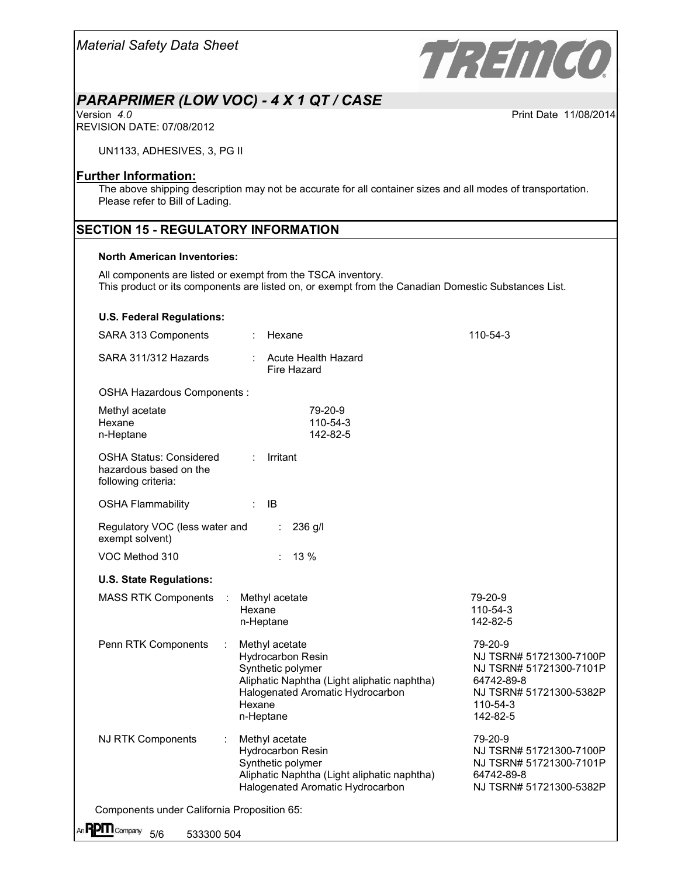

# *PARAPRIMER (LOW VOC) - 4 X 1 QT / CASE*

Print Date 11/08/2014

REVISION DATE: 07/08/2012

UN1133, ADHESIVES, 3, PG II

### **Further Information:**

The above shipping description may not be accurate for all container sizes and all modes of transportation. Please refer to Bill of Lading.

## **SECTION 15 - REGULATORY INFORMATION**

#### **North American Inventories:**

All components are listed or exempt from the TSCA inventory. This product or its components are listed on, or exempt from the Canadian Domestic Substances List.

#### **U.S. Federal Regulations:**

| SARA 313 Components                                                             |                             | Hexane                                                                                                                                                          | 110-54-3                                                                                                                       |
|---------------------------------------------------------------------------------|-----------------------------|-----------------------------------------------------------------------------------------------------------------------------------------------------------------|--------------------------------------------------------------------------------------------------------------------------------|
| SARA 311/312 Hazards                                                            |                             | <b>Acute Health Hazard</b><br>Fire Hazard                                                                                                                       |                                                                                                                                |
| OSHA Hazardous Components :                                                     |                             |                                                                                                                                                                 |                                                                                                                                |
| Methyl acetate<br>Hexane<br>n-Heptane                                           |                             | 79-20-9<br>110-54-3<br>142-82-5                                                                                                                                 |                                                                                                                                |
| <b>OSHA Status: Considered</b><br>hazardous based on the<br>following criteria: | ÷.                          | Irritant                                                                                                                                                        |                                                                                                                                |
| <b>OSHA Flammability</b>                                                        | $\mathcal{L}_{\mathcal{A}}$ | <b>IB</b>                                                                                                                                                       |                                                                                                                                |
| Regulatory VOC (less water and<br>exempt solvent)                               |                             | 236 g/l                                                                                                                                                         |                                                                                                                                |
| VOC Method 310                                                                  |                             | 13 %                                                                                                                                                            |                                                                                                                                |
| <b>U.S. State Regulations:</b>                                                  |                             |                                                                                                                                                                 |                                                                                                                                |
| <b>MASS RTK Components</b>                                                      | Hexane                      | Methyl acetate<br>n-Heptane                                                                                                                                     | 79-20-9<br>110-54-3<br>142-82-5                                                                                                |
| Penn RTK Components                                                             | Hexane                      | Methyl acetate<br><b>Hydrocarbon Resin</b><br>Synthetic polymer<br>Aliphatic Naphtha (Light aliphatic naphtha)<br>Halogenated Aromatic Hydrocarbon<br>n-Heptane | 79-20-9<br>NJ TSRN# 51721300-7100P<br>NJ TSRN# 51721300-7101P<br>64742-89-8<br>NJ TSRN# 51721300-5382P<br>110-54-3<br>142-82-5 |
| <b>NJ RTK Components</b>                                                        |                             | Methyl acetate<br><b>Hydrocarbon Resin</b><br>Synthetic polymer<br>Aliphatic Naphtha (Light aliphatic naphtha)<br>Halogenated Aromatic Hydrocarbon              | 79-20-9<br>NJ TSRN# 51721300-7100P<br>NJ TSRN# 51721300-7101P<br>64742-89-8<br>NJ TSRN# 51721300-5382P                         |
| Components under California Proposition 65:                                     |                             |                                                                                                                                                                 |                                                                                                                                |
| An $\mathbf{P}\mathbf{P}\mathbf{\Pi}$ Company<br>5/6<br>533300 504              |                             |                                                                                                                                                                 |                                                                                                                                |
|                                                                                 |                             |                                                                                                                                                                 |                                                                                                                                |